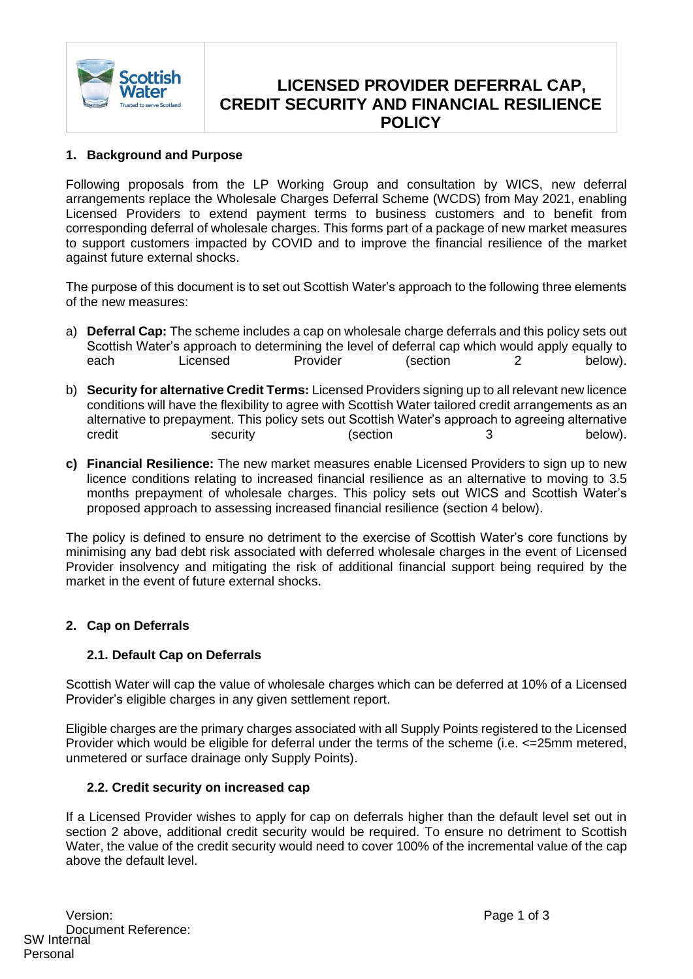

# **LICENSED PROVIDER DEFERRAL CAP, CREDIT SECURITY AND FINANCIAL RESILIENCE POLICY**

### **1. Background and Purpose**

Following proposals from the LP Working Group and consultation by WICS, new deferral arrangements replace the Wholesale Charges Deferral Scheme (WCDS) from May 2021, enabling Licensed Providers to extend payment terms to business customers and to benefit from corresponding deferral of wholesale charges. This forms part of a package of new market measures to support customers impacted by COVID and to improve the financial resilience of the market against future external shocks.

The purpose of this document is to set out Scottish Water's approach to the following three elements of the new measures:

- a) **Deferral Cap:** The scheme includes a cap on wholesale charge deferrals and this policy sets out Scottish Water's approach to determining the level of deferral cap which would apply equally to each Licensed Provider (section 2 below).
- b) **Security for alternative Credit Terms:** Licensed Providers signing up to all relevant new licence conditions will have the flexibility to agree with Scottish Water tailored credit arrangements as an alternative to prepayment. This policy sets out Scottish Water's approach to agreeing alternative credit security (section 3 below).
- **c) Financial Resilience:** The new market measures enable Licensed Providers to sign up to new licence conditions relating to increased financial resilience as an alternative to moving to 3.5 months prepayment of wholesale charges. This policy sets out WICS and Scottish Water's proposed approach to assessing increased financial resilience (section 4 below).

The policy is defined to ensure no detriment to the exercise of Scottish Water's core functions by minimising any bad debt risk associated with deferred wholesale charges in the event of Licensed Provider insolvency and mitigating the risk of additional financial support being required by the market in the event of future external shocks.

#### **2. Cap on Deferrals**

#### **2.1. Default Cap on Deferrals**

Scottish Water will cap the value of wholesale charges which can be deferred at 10% of a Licensed Provider's eligible charges in any given settlement report.

Eligible charges are the primary charges associated with all Supply Points registered to the Licensed Provider which would be eligible for deferral under the terms of the scheme (i.e. <=25mm metered, unmetered or surface drainage only Supply Points).

#### **2.2. Credit security on increased cap**

If a Licensed Provider wishes to apply for cap on deferrals higher than the default level set out in section 2 above, additional credit security would be required. To ensure no detriment to Scottish Water, the value of the credit security would need to cover 100% of the incremental value of the cap above the default level.

Version: Page 1 of 3 Document Reference: SW Internal Personal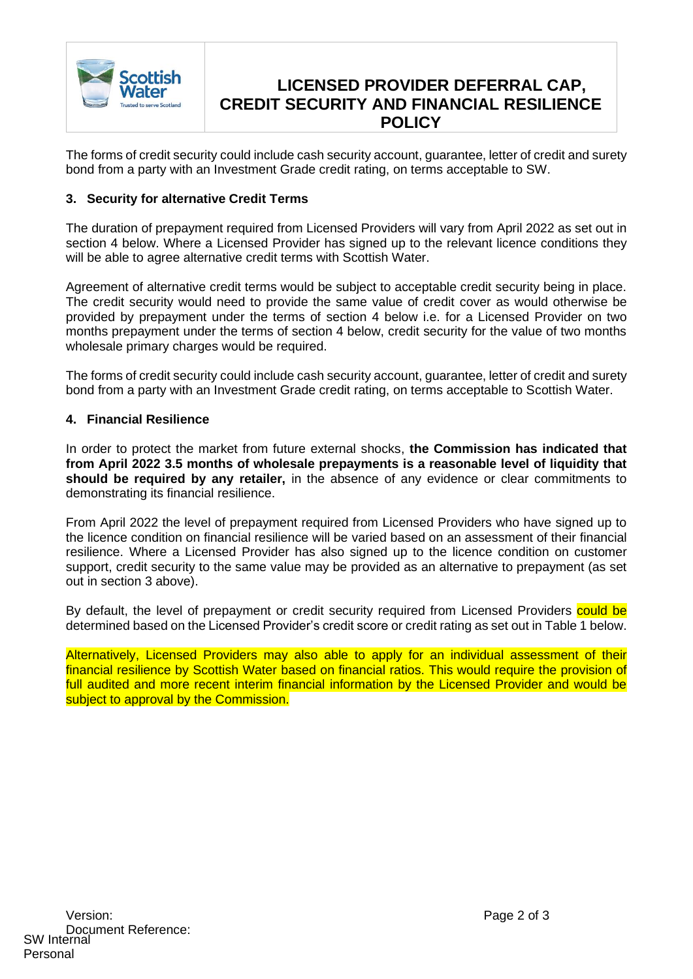

# **LICENSED PROVIDER DEFERRAL CAP, CREDIT SECURITY AND FINANCIAL RESILIENCE POLICY**

The forms of credit security could include cash security account, guarantee, letter of credit and surety bond from a party with an Investment Grade credit rating, on terms acceptable to SW.

#### **3. Security for alternative Credit Terms**

The duration of prepayment required from Licensed Providers will vary from April 2022 as set out in section 4 below. Where a Licensed Provider has signed up to the relevant licence conditions they will be able to agree alternative credit terms with Scottish Water.

Agreement of alternative credit terms would be subject to acceptable credit security being in place. The credit security would need to provide the same value of credit cover as would otherwise be provided by prepayment under the terms of section 4 below i.e. for a Licensed Provider on two months prepayment under the terms of section 4 below, credit security for the value of two months wholesale primary charges would be required.

The forms of credit security could include cash security account, guarantee, letter of credit and surety bond from a party with an Investment Grade credit rating, on terms acceptable to Scottish Water.

#### **4. Financial Resilience**

In order to protect the market from future external shocks, **the Commission has indicated that from April 2022 3.5 months of wholesale prepayments is a reasonable level of liquidity that should be required by any retailer,** in the absence of any evidence or clear commitments to demonstrating its financial resilience.

From April 2022 the level of prepayment required from Licensed Providers who have signed up to the licence condition on financial resilience will be varied based on an assessment of their financial resilience. Where a Licensed Provider has also signed up to the licence condition on customer support, credit security to the same value may be provided as an alternative to prepayment (as set out in section 3 above).

By default, the level of prepayment or credit security required from Licensed Providers could be determined based on the Licensed Provider's credit score or credit rating as set out in Table 1 below.

Alternatively, Licensed Providers may also able to apply for an individual assessment of their financial resilience by Scottish Water based on financial ratios. This would require the provision of full audited and more recent interim financial information by the Licensed Provider and would be subject to approval by the Commission.